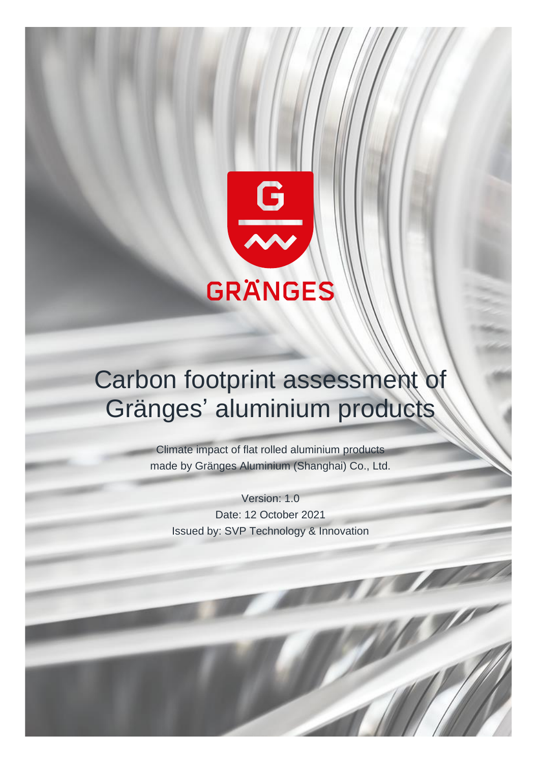

# Carbon footprint assessment Gränges' aluminium products

Climate impact of flat rolled aluminium products made by Gränges Aluminium (Shanghai) Co., Ltd.

Version: 1.0 Date: 12 October 2021 Issued by: SVP Technology & Innovation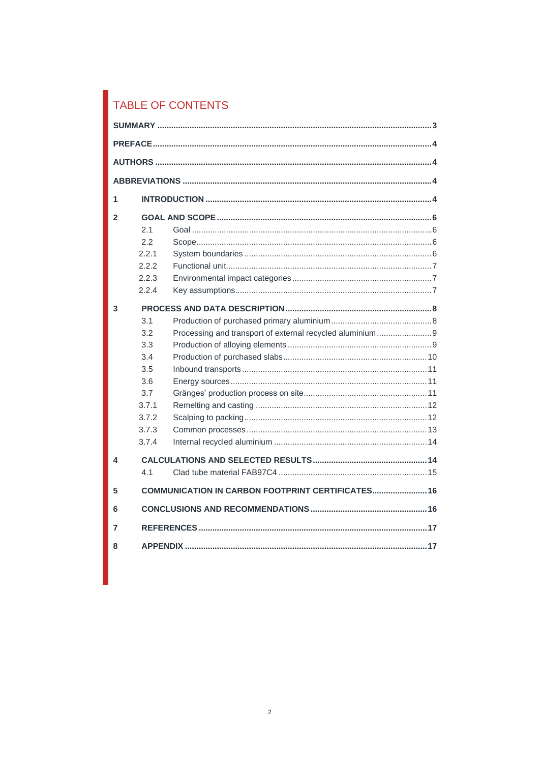# TABLE OF CONTENTS

| 1              |       |                                                          |  |  |
|----------------|-------|----------------------------------------------------------|--|--|
| $\mathfrak{p}$ |       |                                                          |  |  |
|                | 2.1   |                                                          |  |  |
|                | 2.2   |                                                          |  |  |
|                | 2.2.1 |                                                          |  |  |
|                | 2.2.2 |                                                          |  |  |
|                | 2.2.3 |                                                          |  |  |
|                | 2.2.4 |                                                          |  |  |
| 3              |       |                                                          |  |  |
|                | 3.1   |                                                          |  |  |
|                | 3.2   | Processing and transport of external recycled aluminium9 |  |  |
|                | 3.3   |                                                          |  |  |
|                | 3.4   |                                                          |  |  |
|                | 3.5   |                                                          |  |  |
|                | 3.6   |                                                          |  |  |
|                | 3.7   |                                                          |  |  |
|                | 3.7.1 |                                                          |  |  |
|                | 3.7.2 |                                                          |  |  |
|                | 3.7.3 |                                                          |  |  |
|                | 3.7.4 |                                                          |  |  |
| 4              |       |                                                          |  |  |
|                | 4.1   |                                                          |  |  |
| 5              |       | COMMUNICATION IN CARBON FOOTPRINT CERTIFICATES 16        |  |  |
| 6              |       |                                                          |  |  |
| 7              |       |                                                          |  |  |
| 8              |       |                                                          |  |  |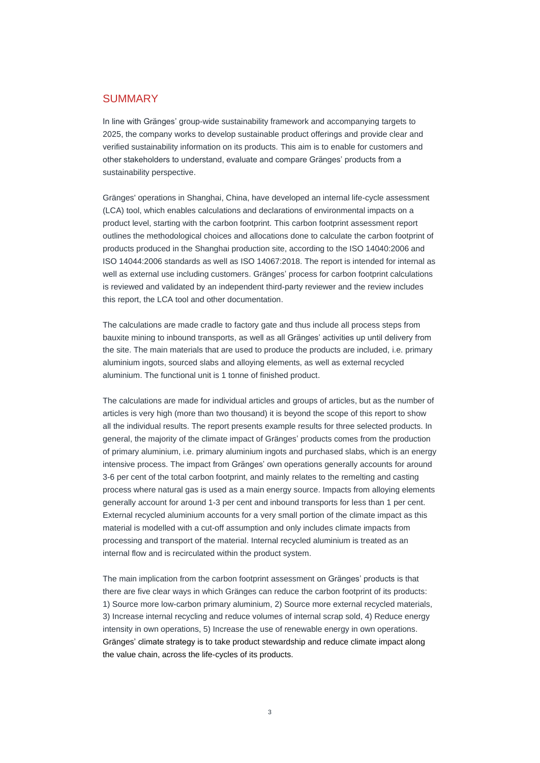### <span id="page-2-0"></span>**SUMMARY**

In line with Gränges' group-wide sustainability framework and accompanying targets to 2025, the company works to develop sustainable product offerings and provide clear and verified sustainability information on its products. This aim is to enable for customers and other stakeholders to understand, evaluate and compare Gränges' products from a sustainability perspective.

Gränges' operations in Shanghai, China, have developed an internal life-cycle assessment (LCA) tool, which enables calculations and declarations of environmental impacts on a product level, starting with the carbon footprint. This carbon footprint assessment report outlines the methodological choices and allocations done to calculate the carbon footprint of products produced in the Shanghai production site, according to the ISO 14040:2006 and ISO 14044:2006 standards as well as ISO 14067:2018. The report is intended for internal as well as external use including customers. Gränges' process for carbon footprint calculations is reviewed and validated by an independent third-party reviewer and the review includes this report, the LCA tool and other documentation.

The calculations are made cradle to factory gate and thus include all process steps from bauxite mining to inbound transports, as well as all Gränges' activities up until delivery from the site. The main materials that are used to produce the products are included, i.e. primary aluminium ingots, sourced slabs and alloying elements, as well as external recycled aluminium. The functional unit is 1 tonne of finished product.

The calculations are made for individual articles and groups of articles, but as the number of articles is very high (more than two thousand) it is beyond the scope of this report to show all the individual results. The report presents example results for three selected products. In general, the majority of the climate impact of Gränges' products comes from the production of primary aluminium, i.e. primary aluminium ingots and purchased slabs, which is an energy intensive process. The impact from Gränges' own operations generally accounts for around 3-6 per cent of the total carbon footprint, and mainly relates to the remelting and casting process where natural gas is used as a main energy source. Impacts from alloying elements generally account for around 1-3 per cent and inbound transports for less than 1 per cent. External recycled aluminium accounts for a very small portion of the climate impact as this material is modelled with a cut-off assumption and only includes climate impacts from processing and transport of the material. Internal recycled aluminium is treated as an internal flow and is recirculated within the product system.

The main implication from the carbon footprint assessment on Gränges' products is that there are five clear ways in which Gränges can reduce the carbon footprint of its products: 1) Source more low-carbon primary aluminium, 2) Source more external recycled materials, 3) Increase internal recycling and reduce volumes of internal scrap sold, 4) Reduce energy intensity in own operations, 5) Increase the use of renewable energy in own operations. Gränges' climate strategy is to take product stewardship and reduce climate impact along the value chain, across the life-cycles of its products.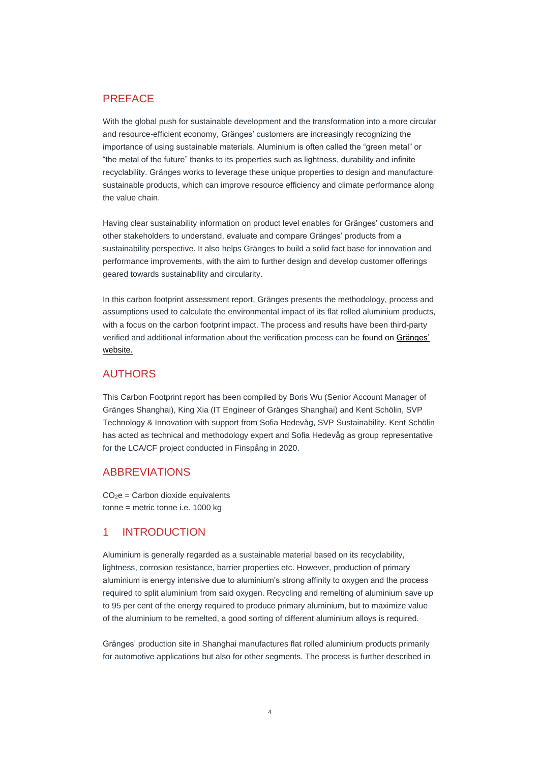# <span id="page-3-0"></span>PREFACE

With the global push for sustainable development and the transformation into a more circular and resource-efficient economy, Gränges' customers are increasingly recognizing the importance of using sustainable materials. Aluminium is often called the "green metal" or "the metal of the future" thanks to its properties such as lightness, durability and infinite recyclability. Gränges works to leverage these unique properties to design and manufacture sustainable products, which can improve resource efficiency and climate performance along the value chain.

Having clear sustainability information on product level enables for Gränges' customers and other stakeholders to understand, evaluate and compare Gränges' products from a sustainability perspective. It also helps Gränges to build a solid fact base for innovation and performance improvements, with the aim to further design and develop customer offerings geared towards sustainability and circularity.

In this carbon footprint assessment report, Gränges presents the methodology, process and assumptions used to calculate the environmental impact of its flat rolled aluminium products, with a focus on the carbon footprint impact. The process and results have been third-party verified and additional information about the verification process can be found on [Gränges'](https://www.granges.com/sustainability/sustainable-product-offerings/)  [website.](https://www.granges.com/sustainability/sustainable-product-offerings/)

# <span id="page-3-1"></span>**AUTHORS**

This Carbon Footprint report has been compiled by Boris Wu (Senior Account Manager of Gränges Shanghai), King Xia (IT Engineer of Gränges Shanghai) and Kent Schölin, SVP Technology & Innovation with support from Sofia Hedevåg, SVP Sustainability. Kent Schölin has acted as technical and methodology expert and Sofia Hedevåg as group representative for the LCA/CF project conducted in Finspång in 2020.

# <span id="page-3-2"></span>ABBREVIATIONS

 $CO<sub>2</sub>e =$  Carbon dioxide equivalents tonne = metric tonne i.e. 1000 kg

# <span id="page-3-3"></span>1 INTRODUCTION

Aluminium is generally regarded as a sustainable material based on its recyclability, lightness, corrosion resistance, barrier properties etc. However, production of primary aluminium is energy intensive due to aluminium's strong affinity to oxygen and the process required to split aluminium from said oxygen. Recycling and remelting of aluminium save up to 95 per cent of the energy required to produce primary aluminium, but to maximize value of the aluminium to be remelted, a good sorting of different aluminium alloys is required.

Gränges' production site in Shanghai manufactures flat rolled aluminium products primarily for automotive applications but also for other segments. The process is further described in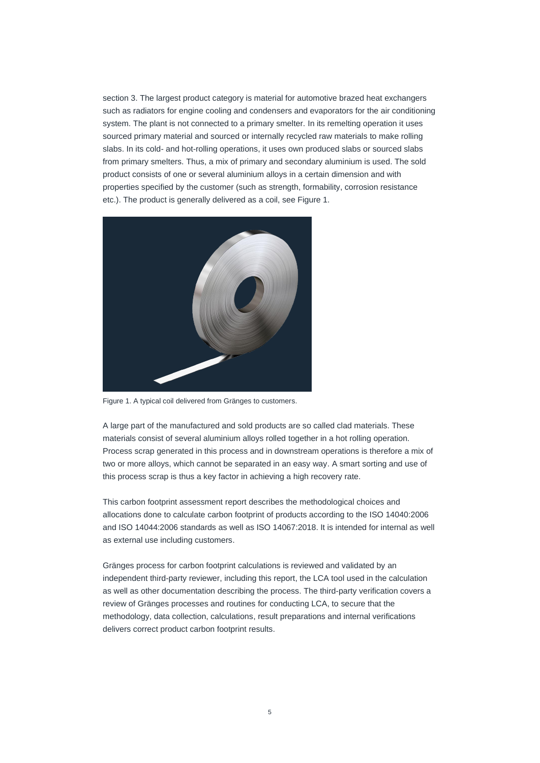section 3. The largest product category is material for automotive brazed heat exchangers such as radiators for engine cooling and condensers and evaporators for the air conditioning system. The plant is not connected to a primary smelter. In its remelting operation it uses sourced primary material and sourced or internally recycled raw materials to make rolling slabs. In its cold- and hot-rolling operations, it uses own produced slabs or sourced slabs from primary smelters. Thus, a mix of primary and secondary aluminium is used. The sold product consists of one or several aluminium alloys in a certain dimension and with properties specified by the customer (such as strength, formability, corrosion resistance etc.). The product is generally delivered as a coil, see Figure 1.



Figure 1. A typical coil delivered from Gränges to customers.

A large part of the manufactured and sold products are so called clad materials. These materials consist of several aluminium alloys rolled together in a hot rolling operation. Process scrap generated in this process and in downstream operations is therefore a mix of two or more alloys, which cannot be separated in an easy way. A smart sorting and use of this process scrap is thus a key factor in achieving a high recovery rate.

This carbon footprint assessment report describes the methodological choices and allocations done to calculate carbon footprint of products according to the ISO 14040:2006 and ISO 14044:2006 standards as well as ISO 14067:2018. It is intended for internal as well as external use including customers.

Gränges process for carbon footprint calculations is reviewed and validated by an independent third-party reviewer, including this report, the LCA tool used in the calculation as well as other documentation describing the process. The third-party verification covers a review of Gränges processes and routines for conducting LCA, to secure that the methodology, data collection, calculations, result preparations and internal verifications delivers correct product carbon footprint results.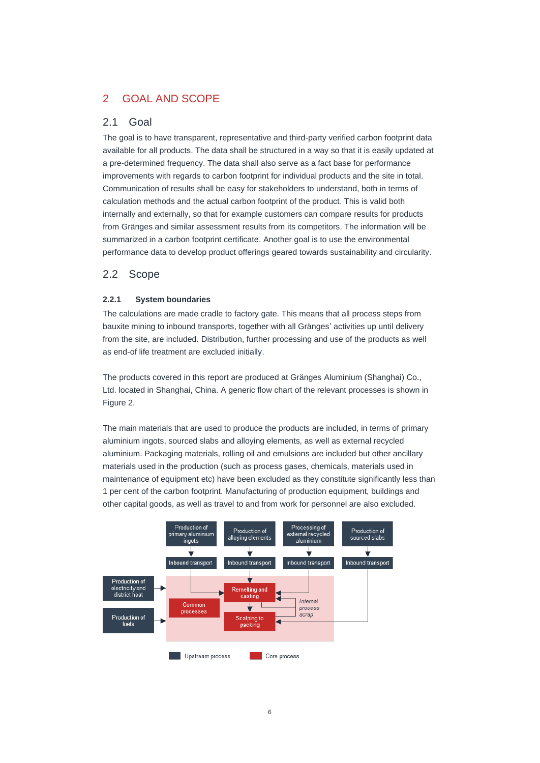# <span id="page-5-0"></span>2 GOAL AND SCOPE

# <span id="page-5-1"></span>2.1 Goal

The goal is to have transparent, representative and third-party verified carbon footprint data available for all products. The data shall be structured in a way so that it is easily updated at a pre-determined frequency. The data shall also serve as a fact base for performance improvements with regards to carbon footprint for individual products and the site in total. Communication of results shall be easy for stakeholders to understand, both in terms of calculation methods and the actual carbon footprint of the product. This is valid both internally and externally, so that for example customers can compare results for products from Gränges and similar assessment results from its competitors. The information will be summarized in a carbon footprint certificate. Another goal is to use the environmental performance data to develop product offerings geared towards sustainability and circularity.

# <span id="page-5-2"></span>2.2 Scope

#### <span id="page-5-3"></span>**2.2.1 System boundaries**

The calculations are made cradle to factory gate. This means that all process steps from bauxite mining to inbound transports, together with all Gränges' activities up until delivery from the site, are included. Distribution, further processing and use of the products as well as end-of life treatment are excluded initially.

The products covered in this report are produced at Gränges Aluminium (Shanghai) Co., Ltd. located in Shanghai, China. A generic flow chart of the relevant processes is shown in Figure 2.

The main materials that are used to produce the products are included, in terms of primary aluminium ingots, sourced slabs and alloying elements, as well as external recycled aluminium. Packaging materials, rolling oil and emulsions are included but other ancillary materials used in the production (such as process gases, chemicals, materials used in maintenance of equipment etc) have been excluded as they constitute significantly less than 1 per cent of the carbon footprint. Manufacturing of production equipment, buildings and other capital goods, as well as travel to and from work for personnel are also excluded.

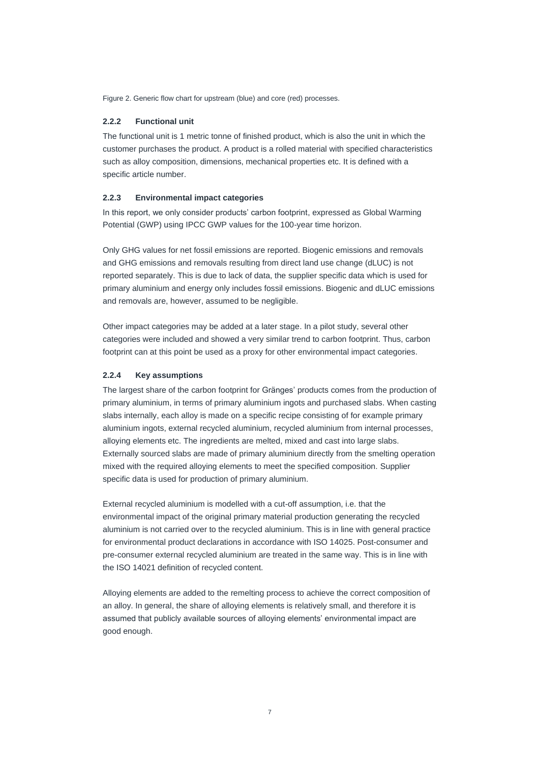<span id="page-6-0"></span>Figure 2. Generic flow chart for upstream (blue) and core (red) processes.

#### **2.2.2 Functional unit**

The functional unit is 1 metric tonne of finished product, which is also the unit in which the customer purchases the product. A product is a rolled material with specified characteristics such as alloy composition, dimensions, mechanical properties etc. It is defined with a specific article number.

#### <span id="page-6-1"></span>**2.2.3 Environmental impact categories**

In this report, we only consider products' carbon footprint, expressed as Global Warming Potential (GWP) using IPCC GWP values for the 100-year time horizon.

Only GHG values for net fossil emissions are reported. Biogenic emissions and removals and GHG emissions and removals resulting from direct land use change (dLUC) is not reported separately. This is due to lack of data, the supplier specific data which is used for primary aluminium and energy only includes fossil emissions. Biogenic and dLUC emissions and removals are, however, assumed to be negligible.

Other impact categories may be added at a later stage. In a pilot study, several other categories were included and showed a very similar trend to carbon footprint. Thus, carbon footprint can at this point be used as a proxy for other environmental impact categories.

#### <span id="page-6-2"></span>**2.2.4 Key assumptions**

The largest share of the carbon footprint for Gränges' products comes from the production of primary aluminium, in terms of primary aluminium ingots and purchased slabs. When casting slabs internally, each alloy is made on a specific recipe consisting of for example primary aluminium ingots, external recycled aluminium, recycled aluminium from internal processes, alloying elements etc. The ingredients are melted, mixed and cast into large slabs. Externally sourced slabs are made of primary aluminium directly from the smelting operation mixed with the required alloying elements to meet the specified composition. Supplier specific data is used for production of primary aluminium.

External recycled aluminium is modelled with a cut-off assumption, i.e. that the environmental impact of the original primary material production generating the recycled aluminium is not carried over to the recycled aluminium. This is in line with general practice for environmental product declarations in accordance with ISO 14025. Post-consumer and pre-consumer external recycled aluminium are treated in the same way. This is in line with the ISO 14021 definition of recycled content.

Alloying elements are added to the remelting process to achieve the correct composition of an alloy. In general, the share of alloying elements is relatively small, and therefore it is assumed that publicly available sources of alloying elements' environmental impact are good enough.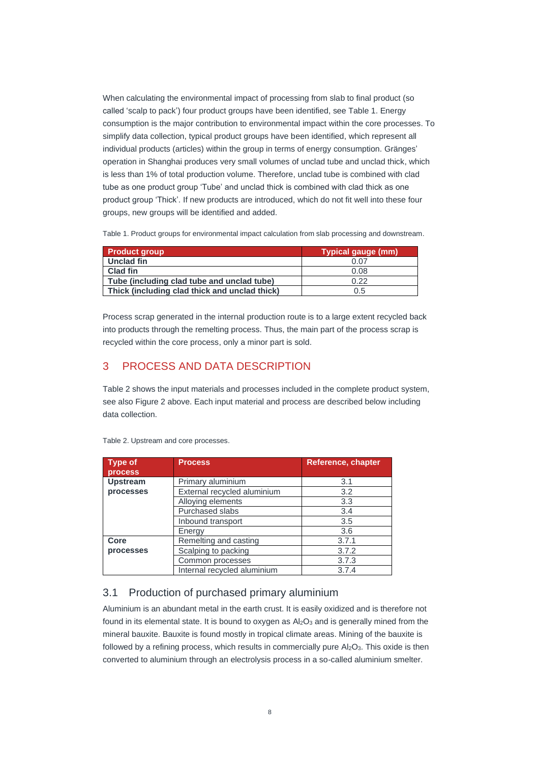When calculating the environmental impact of processing from slab to final product (so called 'scalp to pack') four product groups have been identified, see Table 1. Energy consumption is the major contribution to environmental impact within the core processes. To simplify data collection, typical product groups have been identified, which represent all individual products (articles) within the group in terms of energy consumption. Gränges' operation in Shanghai produces very small volumes of unclad tube and unclad thick, which is less than 1% of total production volume. Therefore, unclad tube is combined with clad tube as one product group 'Tube' and unclad thick is combined with clad thick as one product group 'Thick'. If new products are introduced, which do not fit well into these four groups, new groups will be identified and added.

Table 1. Product groups for environmental impact calculation from slab processing and downstream.

| <b>Product group</b>                          | <b>Typical gauge (mm)</b> |
|-----------------------------------------------|---------------------------|
| Unclad fin                                    | 0.07                      |
| Clad fin                                      | 0.08                      |
| Tube (including clad tube and unclad tube)    | 0.22                      |
| Thick (including clad thick and unclad thick) | 0.5                       |

Process scrap generated in the internal production route is to a large extent recycled back into products through the remelting process. Thus, the main part of the process scrap is recycled within the core process, only a minor part is sold.

# <span id="page-7-0"></span>3 PROCESS AND DATA DESCRIPTION

Table 2 shows the input materials and processes included in the complete product system, see also Figure 2 above. Each input material and process are described below including data collection.

| Type of         | <b>Process</b>              | <b>Reference, chapter</b> |
|-----------------|-----------------------------|---------------------------|
| <b>process</b>  |                             |                           |
| <b>Upstream</b> | Primary aluminium           | 3.1                       |
| processes       | External recycled aluminium | 3.2                       |
|                 | Alloying elements           | 3.3                       |
|                 | <b>Purchased slabs</b>      | 3.4                       |
|                 | Inbound transport           | 3.5                       |
|                 | Energy                      | 3.6                       |
| Core            | Remelting and casting       | 3.7.1                     |
| processes       | Scalping to packing         | 3.7.2                     |
|                 | Common processes            | 3.7.3                     |
|                 | Internal recycled aluminium | 3.7.4                     |

Table 2. Upstream and core processes.

# <span id="page-7-1"></span>3.1 Production of purchased primary aluminium

Aluminium is an abundant metal in the earth crust. It is easily oxidized and is therefore not found in its elemental state. It is bound to oxygen as  $\mathsf{Al}_2\mathsf{O}_3$  and is generally mined from the mineral bauxite. Bauxite is found mostly in tropical climate areas. Mining of the bauxite is followed by a refining process, which results in commercially pure  $Al<sub>2</sub>O<sub>3</sub>$ . This oxide is then converted to aluminium through an electrolysis process in a so-called aluminium smelter.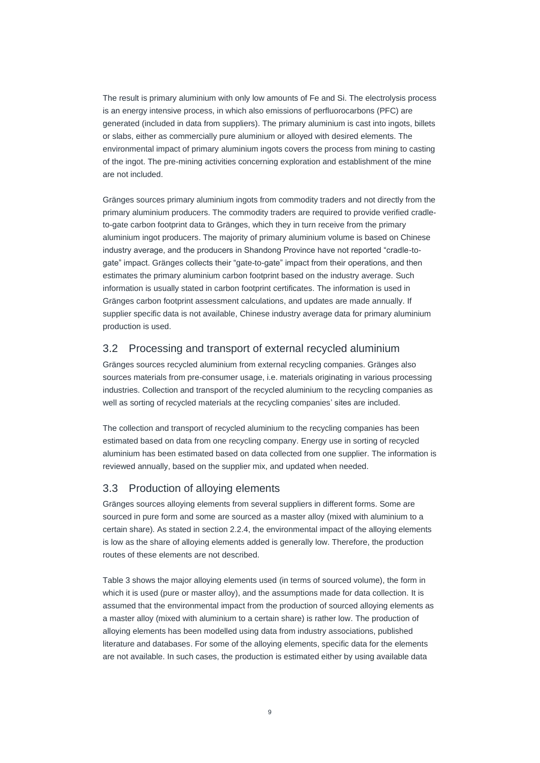The result is primary aluminium with only low amounts of Fe and Si. The electrolysis process is an energy intensive process, in which also emissions of perfluorocarbons (PFC) are generated (included in data from suppliers). The primary aluminium is cast into ingots, billets or slabs, either as commercially pure aluminium or alloyed with desired elements. The environmental impact of primary aluminium ingots covers the process from mining to casting of the ingot. The pre-mining activities concerning exploration and establishment of the mine are not included.

Gränges sources primary aluminium ingots from commodity traders and not directly from the primary aluminium producers. The commodity traders are required to provide verified cradleto-gate carbon footprint data to Gränges, which they in turn receive from the primary aluminium ingot producers. The majority of primary aluminium volume is based on Chinese industry average, and the producers in Shandong Province have not reported "cradle-togate" impact. Gränges collects their "gate-to-gate" impact from their operations, and then estimates the primary aluminium carbon footprint based on the industry average. Such information is usually stated in carbon footprint certificates. The information is used in Gränges carbon footprint assessment calculations, and updates are made annually. If supplier specific data is not available, Chinese industry average data for primary aluminium production is used.

### <span id="page-8-0"></span>3.2 Processing and transport of external recycled aluminium

Gränges sources recycled aluminium from external recycling companies. Gränges also sources materials from pre-consumer usage, i.e. materials originating in various processing industries. Collection and transport of the recycled aluminium to the recycling companies as well as sorting of recycled materials at the recycling companies' sites are included.

The collection and transport of recycled aluminium to the recycling companies has been estimated based on data from one recycling company. Energy use in sorting of recycled aluminium has been estimated based on data collected from one supplier. The information is reviewed annually, based on the supplier mix, and updated when needed.

#### <span id="page-8-1"></span>3.3 Production of alloying elements

Gränges sources alloying elements from several suppliers in different forms. Some are sourced in pure form and some are sourced as a master alloy (mixed with aluminium to a certain share). As stated in section 2.2.4, the environmental impact of the alloying elements is low as the share of alloying elements added is generally low. Therefore, the production routes of these elements are not described.

Table 3 shows the major alloying elements used (in terms of sourced volume), the form in which it is used (pure or master alloy), and the assumptions made for data collection. It is assumed that the environmental impact from the production of sourced alloying elements as a master alloy (mixed with aluminium to a certain share) is rather low. The production of alloying elements has been modelled using data from industry associations, published literature and databases. For some of the alloying elements, specific data for the elements are not available. In such cases, the production is estimated either by using available data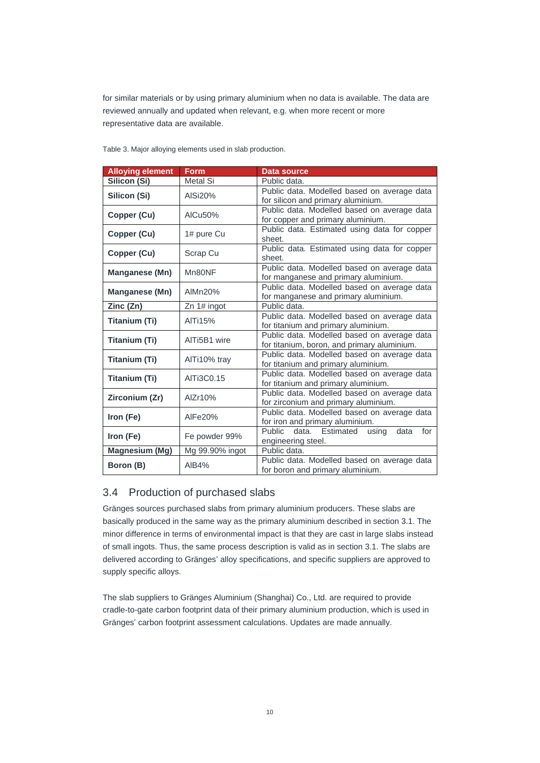for similar materials or by using primary aluminium when no data is available. The data are reviewed annually and updated when relevant, e.g. when more recent or more representative data are available.

| Form          | Data source                                                                                                                        |
|---------------|------------------------------------------------------------------------------------------------------------------------------------|
| Metal Si      | Public data.                                                                                                                       |
|               | Public data. Modelled based on average data                                                                                        |
|               | for silicon and primary aluminium.                                                                                                 |
|               | Public data. Modelled based on average data                                                                                        |
|               | for copper and primary aluminium.                                                                                                  |
|               | Public data. Estimated using data for copper                                                                                       |
|               | sheet.                                                                                                                             |
| Scrap Cu      | Public data. Estimated using data for copper                                                                                       |
|               | sheet.                                                                                                                             |
| Mn80NF        | Public data. Modelled based on average data<br>for manganese and primary aluminium.                                                |
|               | Public data. Modelled based on average data                                                                                        |
| AIMn20%       | for manganese and primary aluminium.                                                                                               |
|               | Public data.                                                                                                                       |
|               | Public data. Modelled based on average data                                                                                        |
|               | for titanium and primary aluminium.                                                                                                |
|               | Public data. Modelled based on average data                                                                                        |
|               | for titanium, boron, and primary aluminium.                                                                                        |
|               | Public data. Modelled based on average data                                                                                        |
|               | for titanium and primary aluminium.                                                                                                |
|               | Public data. Modelled based on average data                                                                                        |
|               | for titanium and primary aluminium.                                                                                                |
| AlZr10%       | Public data. Modelled based on average data                                                                                        |
|               | for zirconium and primary aluminium.                                                                                               |
| AlFe20%       | Public data. Modelled based on average data                                                                                        |
|               | for iron and primary aluminium.<br><b>Public</b><br>data.<br>Estimated<br>for<br>data                                              |
| Fe powder 99% | using<br>engineering steel.                                                                                                        |
|               | Public data.                                                                                                                       |
|               | Public data. Modelled based on average data                                                                                        |
| AIB4%         | for boron and primary aluminium.                                                                                                   |
|               | AISi20%<br>AICu50%<br>1# pure Cu<br>Zn 1# ingot<br><b>AITi15%</b><br>AlTi5B1 wire<br>AlTi10% tray<br>AlTi3C0.15<br>Mg 99.90% ingot |

Table 3. Major alloying elements used in slab production.

### <span id="page-9-0"></span>3.4 Production of purchased slabs

Gränges sources purchased slabs from primary aluminium producers. These slabs are basically produced in the same way as the primary aluminium described in section 3.1. The minor difference in terms of environmental impact is that they are cast in large slabs instead of small ingots. Thus, the same process description is valid as in section 3.1. The slabs are delivered according to Gränges' alloy specifications, and specific suppliers are approved to supply specific alloys.

The slab suppliers to Gränges Aluminium (Shanghai) Co., Ltd. are required to provide cradle-to-gate carbon footprint data of their primary aluminium production, which is used in Gränges' carbon footprint assessment calculations. Updates are made annually.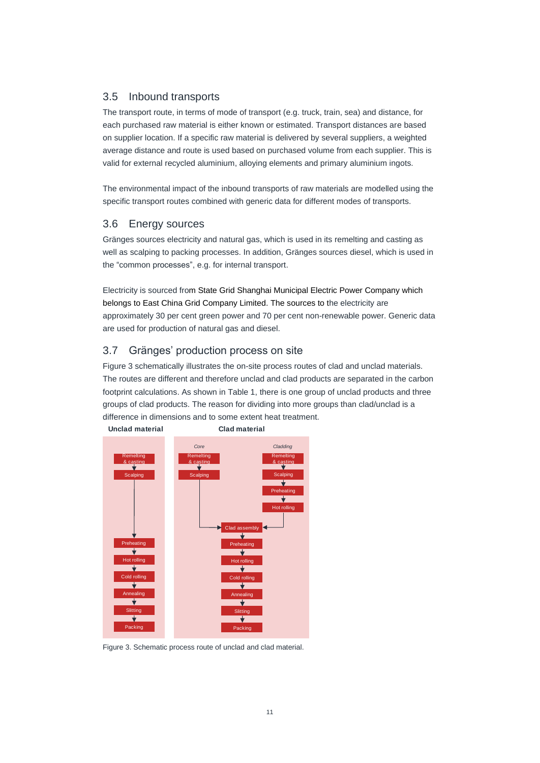# <span id="page-10-0"></span>3.5 Inbound transports

The transport route, in terms of mode of transport (e.g. truck, train, sea) and distance, for each purchased raw material is either known or estimated. Transport distances are based on supplier location. If a specific raw material is delivered by several suppliers, a weighted average distance and route is used based on purchased volume from each supplier. This is valid for external recycled aluminium, alloying elements and primary aluminium ingots.

The environmental impact of the inbound transports of raw materials are modelled using the specific transport routes combined with generic data for different modes of transports.

# <span id="page-10-1"></span>3.6 Energy sources

Gränges sources electricity and natural gas, which is used in its remelting and casting as well as scalping to packing processes. In addition, Gränges sources diesel, which is used in the "common processes", e.g. for internal transport.

Electricity is sourced from State Grid Shanghai Municipal Electric Power Company which belongs to East China Grid Company Limited. The sources to the electricity are approximately 30 per cent green power and 70 per cent non-renewable power. Generic data are used for production of natural gas and diesel.

# <span id="page-10-2"></span>3.7 Gränges' production process on site

Figure 3 schematically illustrates the on-site process routes of clad and unclad materials. The routes are different and therefore unclad and clad products are separated in the carbon footprint calculations. As shown in Table 1, there is one group of unclad products and three groups of clad products. The reason for dividing into more groups than clad/unclad is a difference in dimensions and to some extent heat treatment.



**Unclad material Clad material**

Figure 3. Schematic process route of unclad and clad material.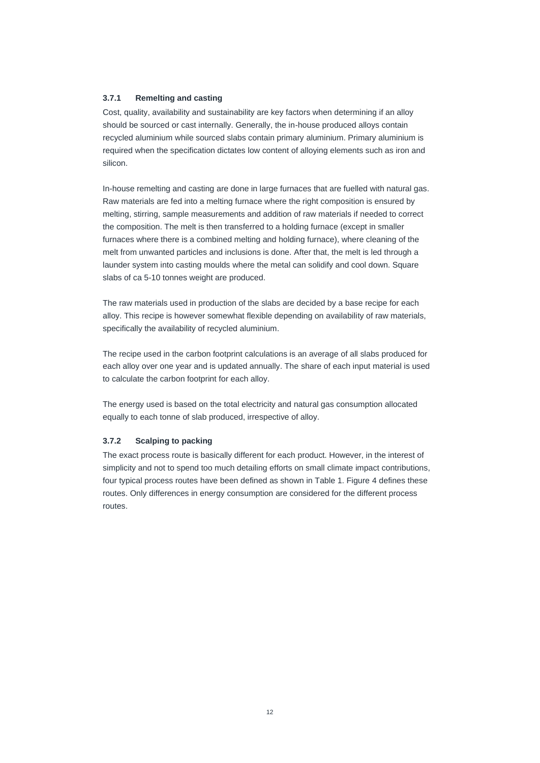#### <span id="page-11-0"></span>**3.7.1 Remelting and casting**

Cost, quality, availability and sustainability are key factors when determining if an alloy should be sourced or cast internally. Generally, the in-house produced alloys contain recycled aluminium while sourced slabs contain primary aluminium. Primary aluminium is required when the specification dictates low content of alloying elements such as iron and silicon.

In-house remelting and casting are done in large furnaces that are fuelled with natural gas. Raw materials are fed into a melting furnace where the right composition is ensured by melting, stirring, sample measurements and addition of raw materials if needed to correct the composition. The melt is then transferred to a holding furnace (except in smaller furnaces where there is a combined melting and holding furnace), where cleaning of the melt from unwanted particles and inclusions is done. After that, the melt is led through a launder system into casting moulds where the metal can solidify and cool down. Square slabs of ca 5-10 tonnes weight are produced.

The raw materials used in production of the slabs are decided by a base recipe for each alloy. This recipe is however somewhat flexible depending on availability of raw materials, specifically the availability of recycled aluminium.

The recipe used in the carbon footprint calculations is an average of all slabs produced for each alloy over one year and is updated annually. The share of each input material is used to calculate the carbon footprint for each alloy.

The energy used is based on the total electricity and natural gas consumption allocated equally to each tonne of slab produced, irrespective of alloy.

#### <span id="page-11-1"></span>**3.7.2 Scalping to packing**

The exact process route is basically different for each product. However, in the interest of simplicity and not to spend too much detailing efforts on small climate impact contributions, four typical process routes have been defined as shown in Table 1. Figure 4 defines these routes. Only differences in energy consumption are considered for the different process routes.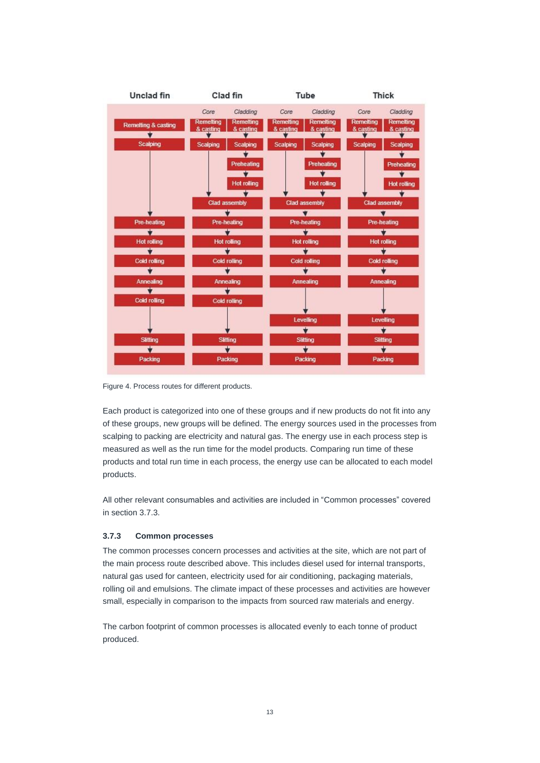

Figure 4. Process routes for different products.

Each product is categorized into one of these groups and if new products do not fit into any of these groups, new groups will be defined. The energy sources used in the processes from scalping to packing are electricity and natural gas. The energy use in each process step is measured as well as the run time for the model products. Comparing run time of these products and total run time in each process, the energy use can be allocated to each model products.

All other relevant consumables and activities are included in "Common processes" covered in section 3.7.3.

#### <span id="page-12-0"></span>**3.7.3 Common processes**

The common processes concern processes and activities at the site, which are not part of the main process route described above. This includes diesel used for internal transports, natural gas used for canteen, electricity used for air conditioning, packaging materials, rolling oil and emulsions. The climate impact of these processes and activities are however small, especially in comparison to the impacts from sourced raw materials and energy.

The carbon footprint of common processes is allocated evenly to each tonne of product produced.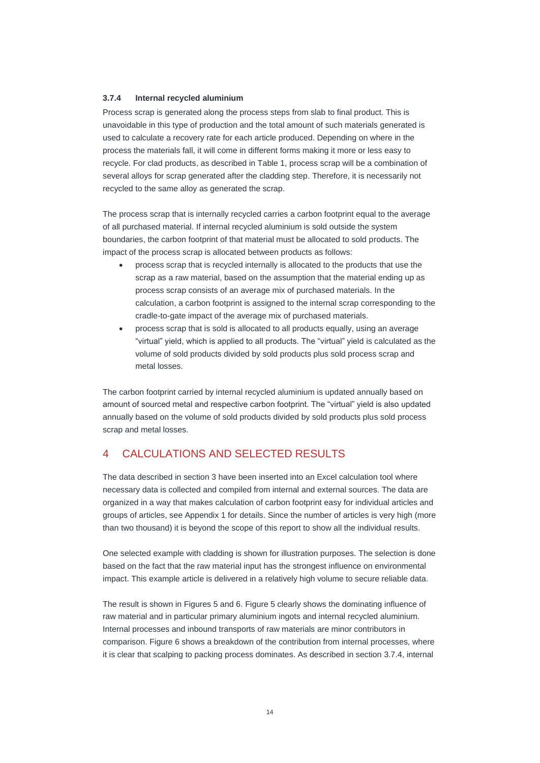#### <span id="page-13-0"></span>**3.7.4 Internal recycled aluminium**

Process scrap is generated along the process steps from slab to final product. This is unavoidable in this type of production and the total amount of such materials generated is used to calculate a recovery rate for each article produced. Depending on where in the process the materials fall, it will come in different forms making it more or less easy to recycle. For clad products, as described in Table 1, process scrap will be a combination of several alloys for scrap generated after the cladding step. Therefore, it is necessarily not recycled to the same alloy as generated the scrap.

The process scrap that is internally recycled carries a carbon footprint equal to the average of all purchased material. If internal recycled aluminium is sold outside the system boundaries, the carbon footprint of that material must be allocated to sold products. The impact of the process scrap is allocated between products as follows:

- process scrap that is recycled internally is allocated to the products that use the scrap as a raw material, based on the assumption that the material ending up as process scrap consists of an average mix of purchased materials. In the calculation, a carbon footprint is assigned to the internal scrap corresponding to the cradle-to-gate impact of the average mix of purchased materials.
- process scrap that is sold is allocated to all products equally, using an average "virtual" yield, which is applied to all products. The "virtual" yield is calculated as the volume of sold products divided by sold products plus sold process scrap and metal losses.

The carbon footprint carried by internal recycled aluminium is updated annually based on amount of sourced metal and respective carbon footprint. The "virtual" yield is also updated annually based on the volume of sold products divided by sold products plus sold process scrap and metal losses.

# <span id="page-13-1"></span>4 CALCULATIONS AND SELECTED RESULTS

The data described in section 3 have been inserted into an Excel calculation tool where necessary data is collected and compiled from internal and external sources. The data are organized in a way that makes calculation of carbon footprint easy for individual articles and groups of articles, see Appendix 1 for details. Since the number of articles is very high (more than two thousand) it is beyond the scope of this report to show all the individual results.

One selected example with cladding is shown for illustration purposes. The selection is done based on the fact that the raw material input has the strongest influence on environmental impact. This example article is delivered in a relatively high volume to secure reliable data.

The result is shown in Figures 5 and 6. Figure 5 clearly shows the dominating influence of raw material and in particular primary aluminium ingots and internal recycled aluminium. Internal processes and inbound transports of raw materials are minor contributors in comparison. Figure 6 shows a breakdown of the contribution from internal processes, where it is clear that scalping to packing process dominates. As described in sectio[n 3.7.4,](#page-13-0) internal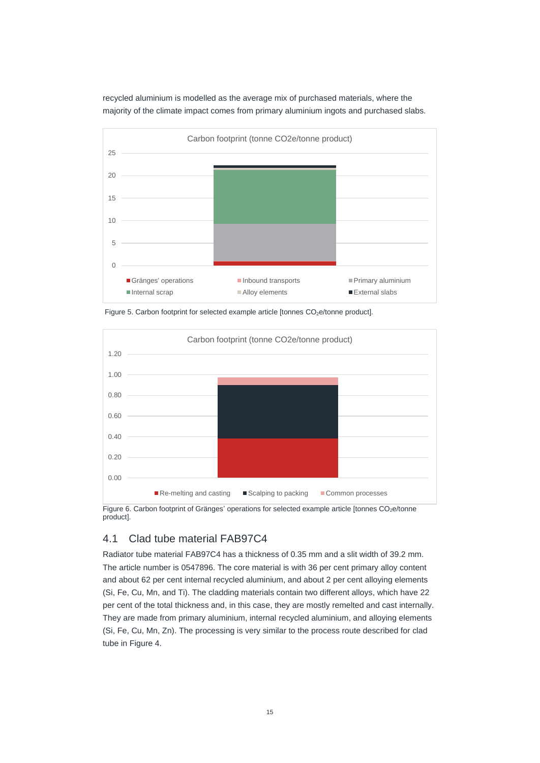recycled aluminium is modelled as the average mix of purchased materials, where the majority of the climate impact comes from primary aluminium ingots and purchased slabs.



Figure 5. Carbon footprint for selected example article [tonnes  $CO<sub>2</sub>e/tonne$  product].



Figure 6. Carbon footprint of Gränges' operations for selected example article [tonnes CO<sub>2</sub>e/tonne product].

# <span id="page-14-0"></span>4.1 Clad tube material FAB97C4

Radiator tube material FAB97C4 has a thickness of 0.35 mm and a slit width of 39.2 mm. The article number is 0547896. The core material is with 36 per cent primary alloy content and about 62 per cent internal recycled aluminium, and about 2 per cent alloying elements (Si, Fe, Cu, Mn, and Ti). The cladding materials contain two different alloys, which have 22 per cent of the total thickness and, in this case, they are mostly remelted and cast internally. They are made from primary aluminium, internal recycled aluminium, and alloying elements (Si, Fe, Cu, Mn, Zn). The processing is very similar to the process route described for clad tube in Figure 4.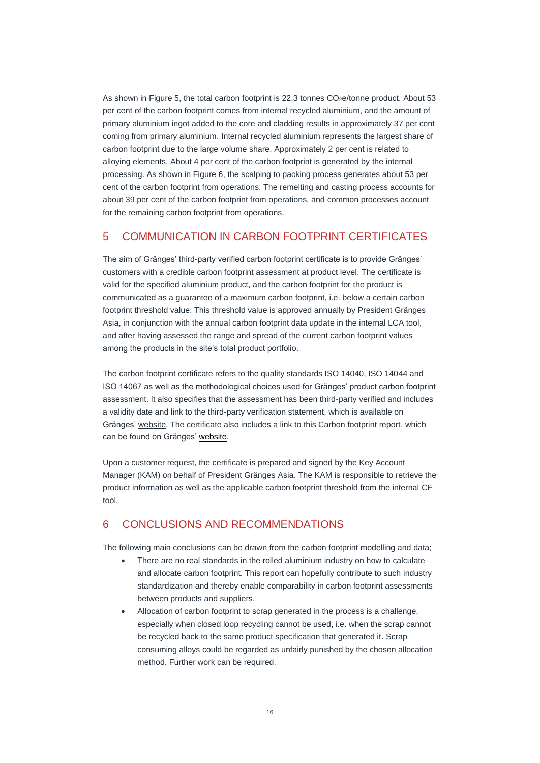As shown in Figure 5, the total carbon footprint is 22.3 tonnes CO<sub>2</sub>e/tonne product. About 53 per cent of the carbon footprint comes from internal recycled aluminium, and the amount of primary aluminium ingot added to the core and cladding results in approximately 37 per cent coming from primary aluminium. Internal recycled aluminium represents the largest share of carbon footprint due to the large volume share. Approximately 2 per cent is related to alloying elements. About 4 per cent of the carbon footprint is generated by the internal processing. As shown in Figure 6, the scalping to packing process generates about 53 per cent of the carbon footprint from operations. The remelting and casting process accounts for about 39 per cent of the carbon footprint from operations, and common processes account for the remaining carbon footprint from operations.

# <span id="page-15-0"></span>5 COMMUNICATION IN CARBON FOOTPRINT CERTIFICATES

The aim of Gränges' third-party verified carbon footprint certificate is to provide Gränges' customers with a credible carbon footprint assessment at product level. The certificate is valid for the specified aluminium product, and the carbon footprint for the product is communicated as a guarantee of a maximum carbon footprint, i.e. below a certain carbon footprint threshold value. This threshold value is approved annually by President Gränges Asia, in conjunction with the annual carbon footprint data update in the internal LCA tool, and after having assessed the range and spread of the current carbon footprint values among the products in the site's total product portfolio.

The carbon footprint certificate refers to the quality standards ISO 14040, ISO 14044 and ISO 14067 as well as the methodological choices used for Gränges' product carbon footprint assessment. It also specifies that the assessment has been third-party verified and includes a validity date and link to the third-party verification statement, which is available on Gränges' [website.](https://www.granges.com/sustainability/sustainable-product-offerings/) The certificate also includes a link to this Carbon footprint report, which can be found on Gränges' [website.](http://www.granges.com/sustainability/sustainable-product-offerings/)

Upon a customer request, the certificate is prepared and signed by the Key Account Manager (KAM) on behalf of President Gränges Asia. The KAM is responsible to retrieve the product information as well as the applicable carbon footprint threshold from the internal CF tool.

# <span id="page-15-1"></span>6 CONCLUSIONS AND RECOMMENDATIONS

The following main conclusions can be drawn from the carbon footprint modelling and data;

- There are no real standards in the rolled aluminium industry on how to calculate and allocate carbon footprint. This report can hopefully contribute to such industry standardization and thereby enable comparability in carbon footprint assessments between products and suppliers.
- Allocation of carbon footprint to scrap generated in the process is a challenge, especially when closed loop recycling cannot be used, i.e. when the scrap cannot be recycled back to the same product specification that generated it. Scrap consuming alloys could be regarded as unfairly punished by the chosen allocation method. Further work can be required.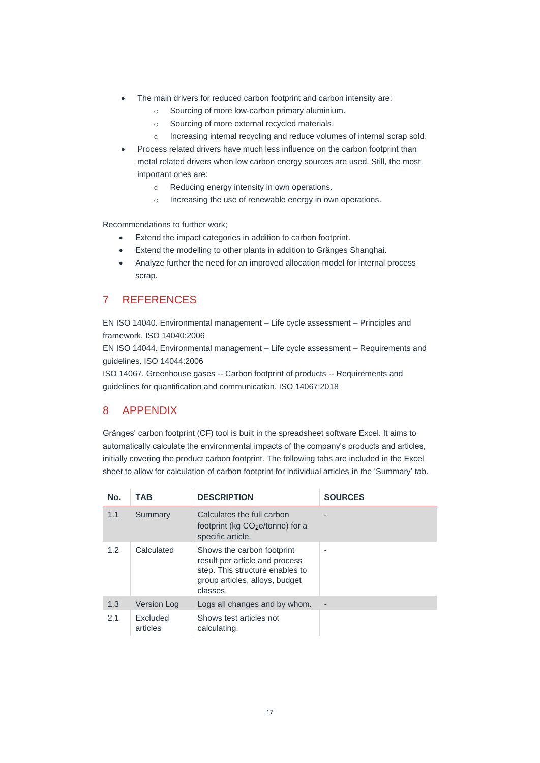- The main drivers for reduced carbon footprint and carbon intensity are:
	- o Sourcing of more low-carbon primary aluminium.
	- o Sourcing of more external recycled materials.
	- o Increasing internal recycling and reduce volumes of internal scrap sold.
- Process related drivers have much less influence on the carbon footprint than metal related drivers when low carbon energy sources are used. Still, the most important ones are:
	- o Reducing energy intensity in own operations.
	- o Increasing the use of renewable energy in own operations.

Recommendations to further work;

- Extend the impact categories in addition to carbon footprint.
- Extend the modelling to other plants in addition to Gränges Shanghai.
- Analyze further the need for an improved allocation model for internal process scrap.

# <span id="page-16-0"></span>7 REFERENCES

EN ISO 14040. Environmental management – Life cycle assessment – Principles and framework. ISO 14040:2006

EN ISO 14044. Environmental management – Life cycle assessment – Requirements and guidelines. ISO 14044:2006

ISO 14067. Greenhouse gases -- Carbon footprint of products -- Requirements and guidelines for quantification and communication. ISO 14067:2018

# <span id="page-16-1"></span>8 APPENDIX

Gränges' carbon footprint (CF) tool is built in the spreadsheet software Excel. It aims to automatically calculate the environmental impacts of the company's products and articles, initially covering the product carbon footprint. The following tabs are included in the Excel sheet to allow for calculation of carbon footprint for individual articles in the 'Summary' tab.

| No. | TAB                  | <b>DESCRIPTION</b>                                                                                                                            | <b>SOURCES</b> |
|-----|----------------------|-----------------------------------------------------------------------------------------------------------------------------------------------|----------------|
| 1.1 | Summary              | Calculates the full carbon<br>footprint (kg CO <sub>2</sub> e/tonne) for a<br>specific article.                                               |                |
| 1.2 | Calculated           | Shows the carbon footprint<br>result per article and process<br>step. This structure enables to<br>group articles, alloys, budget<br>classes. | ٠              |
| 1.3 | <b>Version Log</b>   | Logs all changes and by whom.                                                                                                                 | -              |
| 2.1 | Excluded<br>articles | Shows test articles not<br>calculating.                                                                                                       |                |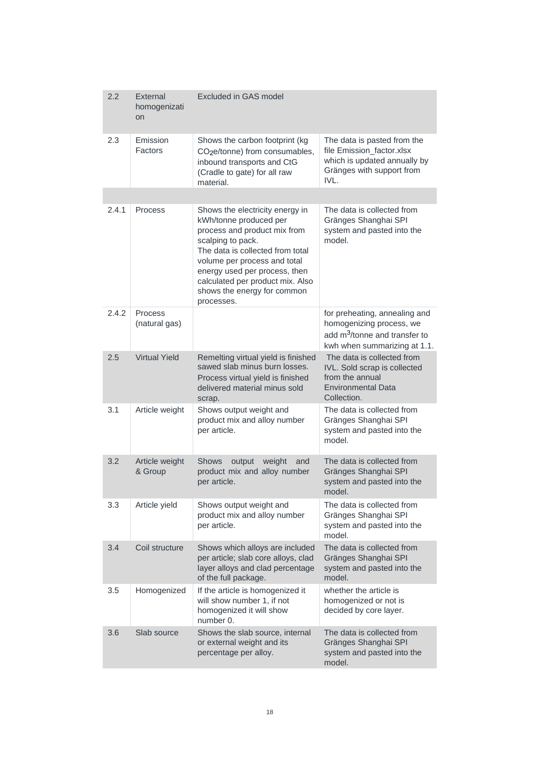| 2.2   | External<br>homogenizati<br><b>on</b> | Excluded in GAS model                                                                                                                                                                                                                                                                                |                                                                                                                                        |
|-------|---------------------------------------|------------------------------------------------------------------------------------------------------------------------------------------------------------------------------------------------------------------------------------------------------------------------------------------------------|----------------------------------------------------------------------------------------------------------------------------------------|
| 2.3   | Emission<br>Factors                   | Shows the carbon footprint (kg<br>CO <sub>2</sub> e/tonne) from consumables,<br>inbound transports and CtG<br>(Cradle to gate) for all raw<br>material.                                                                                                                                              | The data is pasted from the<br>file Emission_factor.xlsx<br>which is updated annually by<br>Gränges with support from<br>IVL.          |
|       |                                       |                                                                                                                                                                                                                                                                                                      |                                                                                                                                        |
| 2.4.1 | Process                               | Shows the electricity energy in<br>kWh/tonne produced per<br>process and product mix from<br>scalping to pack.<br>The data is collected from total<br>volume per process and total<br>energy used per process, then<br>calculated per product mix. Also<br>shows the energy for common<br>processes. | The data is collected from<br>Gränges Shanghai SPI<br>system and pasted into the<br>model.                                             |
| 2.4.2 | Process<br>(natural gas)              |                                                                                                                                                                                                                                                                                                      | for preheating, annealing and<br>homogenizing process, we<br>add m <sup>3</sup> /tonne and transfer to<br>kwh when summarizing at 1.1. |
| 2.5   | <b>Virtual Yield</b>                  | Remelting virtual yield is finished<br>sawed slab minus burn losses.<br>Process virtual yield is finished<br>delivered material minus sold<br>scrap.                                                                                                                                                 | The data is collected from<br>IVL. Sold scrap is collected<br>from the annual<br><b>Environmental Data</b><br>Collection.              |
| 3.1   | Article weight                        | Shows output weight and<br>product mix and alloy number<br>per article.                                                                                                                                                                                                                              | The data is collected from<br>Gränges Shanghai SPI<br>system and pasted into the<br>model.                                             |
| 3.2   | Article weight<br>& Group             | <b>Shows</b><br>weight<br>output<br>and<br>product mix and alloy number<br>per article.                                                                                                                                                                                                              | The data is collected from<br>Gränges Shanghai SPI<br>system and pasted into the<br>model.                                             |
| 3.3   | Article yield                         | Shows output weight and<br>product mix and alloy number<br>per article.                                                                                                                                                                                                                              | The data is collected from<br>Gränges Shanghai SPI<br>system and pasted into the<br>model.                                             |
| 3.4   | Coil structure                        | Shows which alloys are included<br>per article; slab core alloys, clad<br>layer alloys and clad percentage<br>of the full package.                                                                                                                                                                   | The data is collected from<br>Gränges Shanghai SPI<br>system and pasted into the<br>model.                                             |
| 3.5   | Homogenized                           | If the article is homogenized it<br>will show number 1, if not<br>homogenized it will show<br>number 0.                                                                                                                                                                                              | whether the article is<br>homogenized or not is<br>decided by core layer.                                                              |
| 3.6   | Slab source                           | Shows the slab source, internal<br>or external weight and its<br>percentage per alloy.                                                                                                                                                                                                               | The data is collected from<br>Gränges Shanghai SPI<br>system and pasted into the<br>model.                                             |